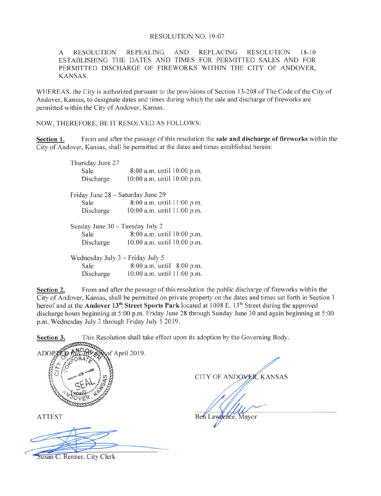## RESOLUTION NO. 19-07

A RESOLUTION REPEALING AND REPLACING RESOLUTION 18-10 ESTABLISHING THE DATES AND TIMES FOR PERMITTED SALES AND FOR PERMITTED DISCHARGE OF FIREWORKS WITHIN THE CITY OF ANDOVER, KANSAS.

WHEREAS, the City is authorized pursuant to the provisions of Section 13-208 of The Code of the City of Andover, Kansas, to designate dates and times during which the sale and discharge of fireworks are permitted within the City of Andover, Kansas.

NOW, THEREFORE, BE IT RESOLVED AS FOLLOWS:

Section 1. From and after the passage of this resolution the sale and discharge of fireworks within the City of Andover, Kansas, shall be permitted at the dates and times established herein:

| Thursday June 27                 |                                   |
|----------------------------------|-----------------------------------|
| Sale                             | 8:00 a.m. until 10:00 p.m.        |
| Discharge                        | 10:00 a.m. until 10:00 p.m.       |
|                                  | Friday June 28 - Saturday June 29 |
| Sale                             | 8:00 a.m. until 11:00 p.m.        |
| Discharge                        | 10:00 a.m. until 11:00 p.m.       |
| Sunday June 30 - Tuesday July 2  |                                   |
| Sale                             | 8:00 a.m. until 10:00 p.m.        |
| Discharge                        | 10:00 a.m. until 10:00 p.m.       |
| Wednesday July 3 – Friday July 5 |                                   |
| Sale                             | 8:00 a.m. until 8:00 p.m.         |
| Discharge                        | 10:00 a.m. until 11:00 p.m.       |

Section 2. From and after the passage of this resolution the public discharge of fireworks within the City of Andover, Kansas, shall be permitted on private property on the dates and times set forth in Section 1 hereof and at the Andover 13<sup>th</sup> Street Sports Park located at 1008 E. 13<sup>th</sup> Street during the approved discharge hours beginning at 5:00 p.m. Friday June 28 through Sunday June 30 and again beginning at 5:00 p.m. Wednesday July 3 through Friday July 5 2019.

Section 3. This Resolution shall take effect upon its adoption by the Governing Body.

ADOPTED MIS.30 & Janof April 2019. CITY OF ANDOVER, KANSAS Ben Lawrence, Mayor ATTEST

Susan C. Renner, City Clerk